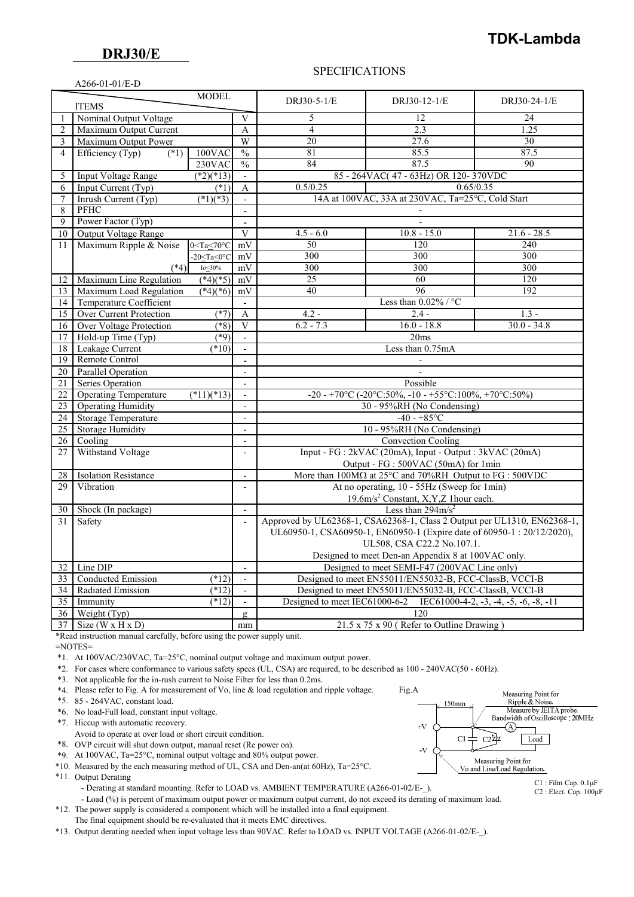# **TDK-Lambda**

#### A266-01-01/E-D

#### SPECIFICATIONS

| <b>MODEL</b><br><b>ITEMS</b> |                                              |                              |                          | DRJ30-5-1/E                                                                             | DRJ30-12-1/E                                          | DRJ30-24-1/E  |  |
|------------------------------|----------------------------------------------|------------------------------|--------------------------|-----------------------------------------------------------------------------------------|-------------------------------------------------------|---------------|--|
|                              | Nominal Output Voltage                       |                              | V                        | 5                                                                                       | 12                                                    | 24            |  |
| $\overline{2}$               | Maximum Output Current                       |                              |                          | $\overline{4}$                                                                          | 2.3                                                   | 1.25          |  |
| 3                            | Maximum Output Power                         |                              | W                        | 20                                                                                      | 27.6                                                  | 30            |  |
| $\overline{4}$               | Efficiency (Typ)<br>$(*1)$                   | 100VAC                       | $\frac{0}{0}$            | 81                                                                                      | 85.5                                                  | 87.5          |  |
|                              |                                              | 230VAC                       | $\frac{0}{0}$            | 84                                                                                      | 87.5                                                  | 90            |  |
| 5                            | <b>Input Voltage Range</b>                   | $(*2)(*13)$                  | $\overline{\phantom{a}}$ |                                                                                         | 85 - 264VAC(47 - 63Hz) OR 120-370VDC                  |               |  |
| 6                            | Input Current (Typ)<br>$(*1)$                |                              | A                        | 0.65/0.35<br>0.5/0.25                                                                   |                                                       |               |  |
| 7                            | Inrush Current (Typ)<br>$\sqrt{(*1)(*3)}$    |                              | $\mathbb{Z}^2$           | 14A at 100VAC, 33A at 230VAC, Ta=25°C, Cold Start                                       |                                                       |               |  |
| 8                            | PFHC                                         |                              | $\sim$                   |                                                                                         |                                                       |               |  |
| 9                            | Power Factor (Typ)                           |                              | $\overline{a}$           |                                                                                         |                                                       |               |  |
| 10                           | Output Voltage Range                         |                              | V                        | $4.5 - 6.0$                                                                             | $10.8 - 15.0$                                         | $21.6 - 28.5$ |  |
| 11                           | Maximum Ripple & Noise                       | $0 <$ Ta $\leq 70$ °C        | mV                       | 50                                                                                      | 120                                                   | 240           |  |
|                              |                                              | $-20 <$ Ta $<$ 0 $\degree$ C | mV                       | 300                                                                                     | 300                                                   | 300           |  |
|                              | $(*4)$                                       | Io $\leq$ 30%                | mV                       | 300                                                                                     | 300                                                   | 300           |  |
| 12                           | Maximum Line Regulation                      | $(*4)(*5)$                   | mV                       | $\overline{25}$                                                                         | 60                                                    | 120           |  |
| 13                           | Maximum Load Regulation                      | $(*4)(*6)$                   | mV                       | 40                                                                                      | 96                                                    | 192           |  |
| 14                           | Temperature Coefficient                      |                              | $\overline{\phantom{a}}$ | Less than $0.02\%$ / °C                                                                 |                                                       |               |  |
| 15                           | Over Current Protection                      | $(*7)$                       | A                        | $4.2 -$                                                                                 | $2.4 -$                                               | $1.3 -$       |  |
| 16                           | <b>Over Voltage Protection</b>               | $(*8)$                       | V                        | $6.2 - 7.3$                                                                             | $16.0 - 18.8$                                         | $30.0 - 34.8$ |  |
| 17                           | Hold-up Time (Typ)                           | $(*9)$                       | $\sim$                   | 20ms                                                                                    |                                                       |               |  |
| 18                           | Leakage Current                              | (10)                         |                          | Less than 0.75mA                                                                        |                                                       |               |  |
| 19                           | Remote Control                               |                              |                          |                                                                                         |                                                       |               |  |
| $\overline{20}$              | <b>Parallel Operation</b>                    |                              | $\overline{\phantom{a}}$ |                                                                                         |                                                       |               |  |
| 21                           | Series Operation                             |                              | $\sim$                   | Possible                                                                                |                                                       |               |  |
| 22                           | <b>Operating Temperature</b>                 | $(*11)(*13)$                 | $\overline{\phantom{a}}$ |                                                                                         | -20 - +70°C (-20°C:50%, -10 - +55°C:100%, +70°C:50%)  |               |  |
| $\overline{23}$              | <b>Operating Humidity</b>                    |                              | $\mathbf{r}$             | 30 - 95%RH (No Condensing)                                                              |                                                       |               |  |
| 24                           | <b>Storage Temperature</b>                   |                              | $\overline{a}$           | $-40 - +85$ °C                                                                          |                                                       |               |  |
| 25                           | <b>Storage Humidity</b>                      |                              | $\blacksquare$           | 10 - 95%RH (No Condensing)                                                              |                                                       |               |  |
| 26                           | Cooling                                      |                              | $\overline{\phantom{a}}$ | <b>Convection Cooling</b>                                                               |                                                       |               |  |
| 27                           | Withstand Voltage                            |                              | $\overline{\phantom{a}}$ | Input - FG : 2kVAC (20mA), Input - Output : 3kVAC (20mA)                                |                                                       |               |  |
|                              |                                              |                              |                          | Output - FG : 500VAC (50mA) for 1min                                                    |                                                       |               |  |
| 28                           | <b>Isolation Resistance</b>                  |                              | $\Box$                   | More than $100M\Omega$ at $25^{\circ}$ C and $70\%$ RH Output to FG : 500VDC            |                                                       |               |  |
| 29                           | Vibration                                    |                              | $\overline{a}$           | At no operating, 10 - 55Hz (Sweep for 1min)                                             |                                                       |               |  |
|                              |                                              |                              |                          |                                                                                         | 19.6m/s <sup>2</sup> Constant, X,Y,Z 1hour each.      |               |  |
| 30                           | Shock (In package)                           |                              | $\mathbf{r}$             | Less than $294 \text{m/s}^2$                                                            |                                                       |               |  |
| 31                           | Safety                                       |                              | $\Box$                   | Approved by UL62368-1, CSA62368-1, Class 2 Output per UL1310, EN62368-1,                |                                                       |               |  |
|                              |                                              |                              |                          | UL60950-1, CSA60950-1, EN60950-1 (Expire date of 60950-1: 20/12/2020),                  |                                                       |               |  |
|                              |                                              |                              |                          | UL508, CSA C22.2 No.107.1.                                                              |                                                       |               |  |
|                              |                                              |                              |                          | Designed to meet Den-an Appendix 8 at 100VAC only.                                      |                                                       |               |  |
| 32                           | Line DIP                                     |                              | $\overline{\phantom{a}}$ | Designed to meet SEMI-F47 (200VAC Line only)                                            |                                                       |               |  |
| 33                           | Conducted Emission<br>(12)<br>$\blacksquare$ |                              |                          | Designed to meet EN55011/EN55032-B, FCC-ClassB, VCCI-B                                  |                                                       |               |  |
| 34                           | Radiated Emission                            | $(*12)$                      | $\overline{\phantom{a}}$ | Designed to meet EN55011/EN55032-B, FCC-ClassB, VCCI-B                                  |                                                       |               |  |
| $\overline{35}$              | Immunity<br>$(*12)$                          |                              | $\mathbf{r}$             | Designed to meet IEC61000-6-2<br>IEC61000-4-2, $-3$ , $-4$ , $-5$ , $-6$ , $-8$ , $-11$ |                                                       |               |  |
| 36 <sup>1</sup>              | Weight $(Typ)$                               |                              | $\mathbf{g}$             | 120                                                                                     |                                                       |               |  |
|                              | $37$ Size (W x H x D)                        |                              | mm                       |                                                                                         | $21.5 \times 75 \times 90$ (Refer to Outline Drawing) |               |  |

\*Read instruction manual carefully, before using the power supply unit.

 $=$ NOTES $=$ 

\*1. At 100VAC/230VAC, Ta=25°C, nominal output voltage and maximum output power.

\*2. For cases where conformance to various safety specs (UL, CSA) are required, to be described as 100 - 240VAC(50 - 60Hz).

\*3. Not applicable for the in-rush current to Noise Filter for less than 0.2ms.

\*4. Please refer to Fig. A for measurement of Vo, line & load regulation and ripple voltage. Fig.A

\*5. 85 - 264VAC, constant load.

\*6. No load-Full load, constant input voltage.

\*7. Hiccup with automatic recovery.

- Avoid to operate at over load or short circuit condition.
- \*8. OVP circuit will shut down output, manual reset (Re power on).

\*9. At 100VAC, Ta=25°C, nominal output voltage and 80% output power.

\*10. Measured by the each measuring method of UL, CSA and Den-an(at 60Hz), Ta=25°C.

\*11. Output Derating

- Derating at standard mounting. Refer to LOAD vs. AMBIENT TEMPERATURE (A266-01-02/E-).

- Load (%) is percent of maximum output power or maximum output current, do not exceed its derating of maximum load.

 \*12. The power supply is considered a component which will be installed into a final equipment. The final equipment should be re-evaluated that it meets EMC directives.

\*13. Output derating needed when input voltage less than 90VAC. Refer to LOAD vs. INPUT VOLTAGE (A266-01-02/E-\_).



C1 : Film Cap. 0.1μF C2 : Elect. Cap. 100μF